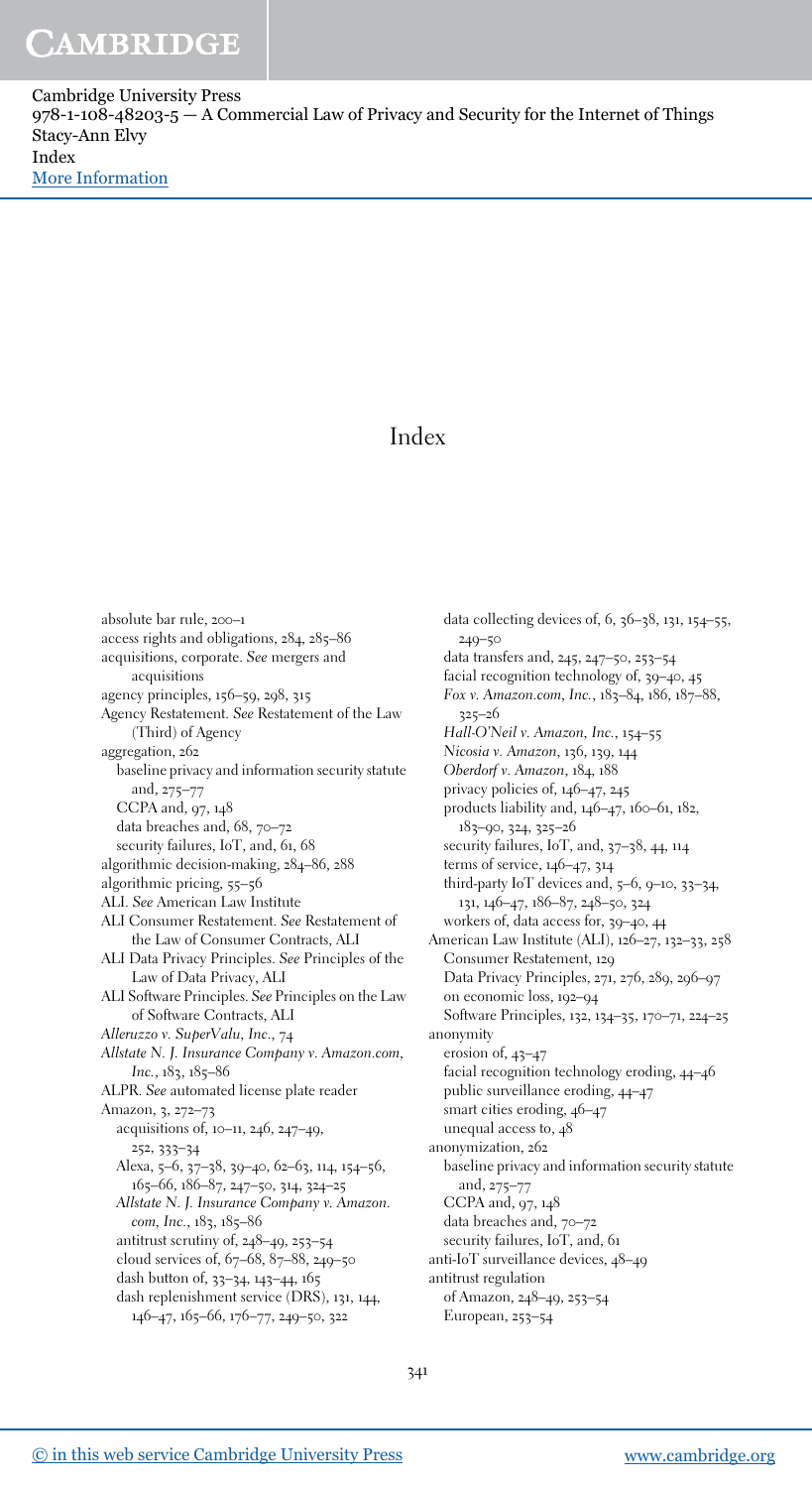Cambridge University Press  $978-1-108-48203-5 - A$  Commercial Law of Privacy and Security for the Internet of Things Stacy-Ann Elvy Index [More Information](www.cambridge.org/9781108482035)

### Index

absolute bar rule, 200–1 access rights and obligations, 284, 285–86 acquisitions, corporate. See mergers and acquisitions agency principles, 156–59, 298, 315 Agency Restatement. See Restatement of the Law (Third) of Agency aggregation, 262 baseline privacy and information security statute and, 275–77 CCPA and, 97, 148 data breaches and, 68, 70–72 security failures, IoT, and, 61, 68 algorithmic decision-making, 284–86, 288 algorithmic pricing, 55–56 ALI. See American Law Institute ALI Consumer Restatement. See Restatement of the Law of Consumer Contracts, ALI ALI Data Privacy Principles. See Principles of the Law of Data Privacy, ALI ALI Software Principles. See Principles on the Law of Software Contracts, ALI Alleruzzo v. SuperValu, Inc., 74 Allstate N. J. Insurance Company v. Amazon.com, Inc., 183, 185–86 ALPR. See automated license plate reader Amazon, 3, 272–73 acquisitions of, 10–11, 246, 247–49, 252, 333–34 Alexa, 5–6, 37–38, 39–40, 62–63, 114, 154–56, 165–66, 186–87, 247–50, 314, 324–25 Allstate N. J. Insurance Company v. Amazon. com, Inc., 183, 185-86 antitrust scrutiny of, 248–49, 253–54 cloud services of, 67–68, 87–88, 249–50 dash button of, 33–34, 143–44, 165 dash replenishment service (DRS), 131, 144, 146–47, 165–66, 176–77, 249–50, 322

data collecting devices of, 6, 36–38, 131, 154–55, 249–50 data transfers and, 245, 247–50, 253–54 facial recognition technology of, 39–40, 45 Fox v. Amazon.com, Inc., 183–84, 186, 187–88, 325–26 Hall-O'Neil v. Amazon, Inc., 154–55 Nicosia v. Amazon, 136, 139, 144 Oberdorf v. Amazon, 184, 188 privacy policies of, 146–47, 245 products liability and, 146–47, 160–61, 182, 183–90, 324, 325–26 security failures, IoT, and, 37-38, 44, 114 terms of service, 146–47, 314 third-party IoT devices and, 5–6, 9–10, 33–34, 131, 146–47, 186–87, 248–50, 324 workers of, data access for, 39–40, 44 American Law Institute (ALI), 126–27, 132–33, 258 Consumer Restatement, 129 Data Privacy Principles, 271, 276, 289, 296–97 on economic loss, 192–94 Software Principles, 132, 134–35, 170–71, 224–25 anonymity erosion of, 43–47 facial recognition technology eroding, 44–46 public surveillance eroding, 44–47 smart cities eroding, 46–47 unequal access to, 48 anonymization, 262 baseline privacy and information security statute and, 275–77 CCPA and, 97, 148 data breaches and, 70–72 security failures, IoT, and, 61 anti-IoT surveillance devices, 48–49 antitrust regulation of Amazon, 248–49, 253–54 European, 253–54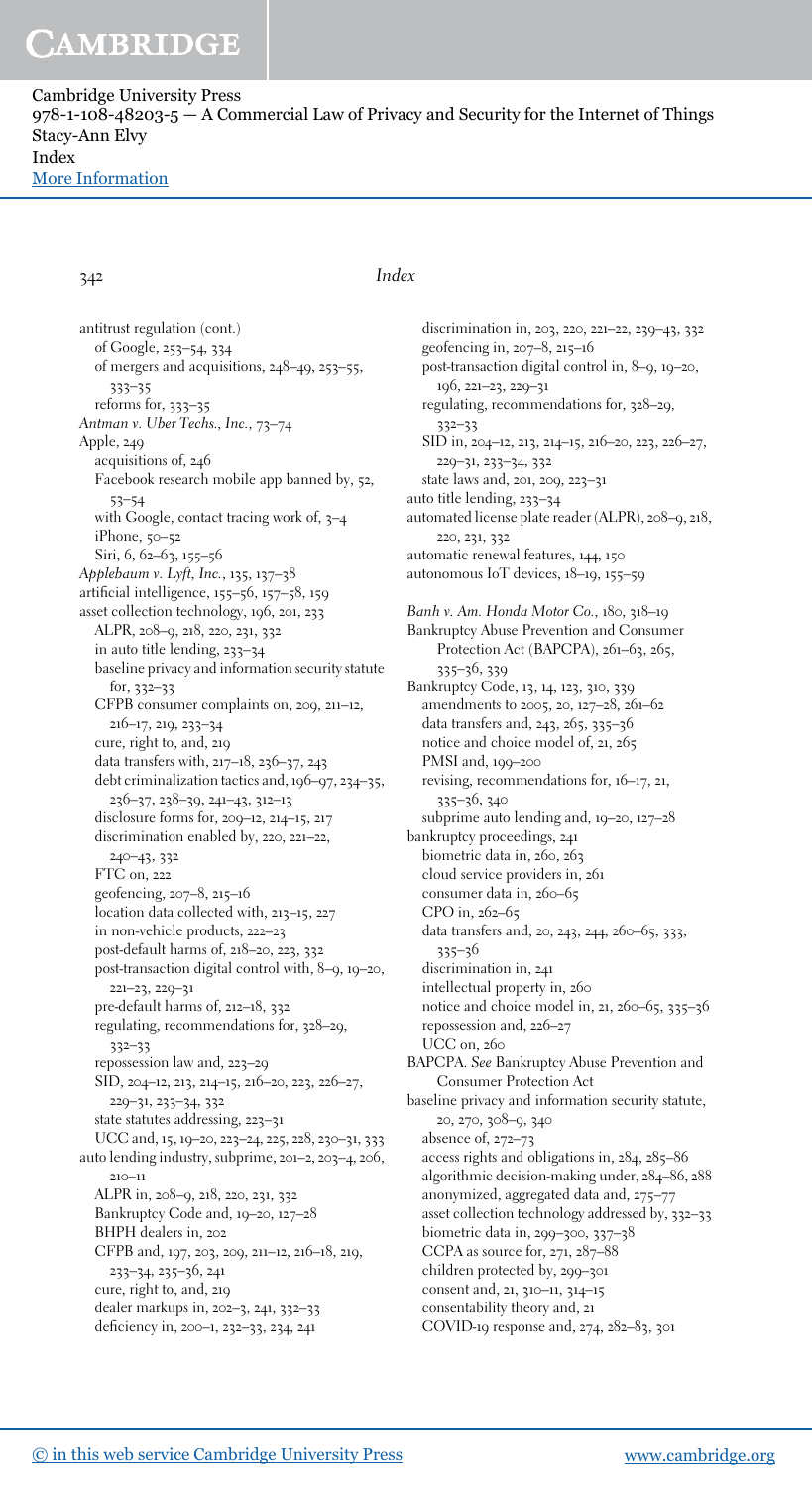Cambridge University Press  $978-1-108-48203-5 - A$  Commercial Law of Privacy and Security for the Internet of Things Stacy-Ann Elvy Index [More Information](www.cambridge.org/9781108482035)

342 Index

antitrust regulation (cont.) of Google, 253–54, 334 of mergers and acquisitions, 248–49, 253–55, 333–35 reforms for, 333–35 Antman v. Uber Techs., Inc., 73–74 Apple, 249 acquisitions of, 246 Facebook research mobile app banned by, 52, 53–54 with Google, contact tracing work of, 3–4 iPhone, 50–52 Siri, 6, 62–63, 155–56 Applebaum v. Lyft, Inc., 135, 137–38 artificial intelligence, 155–56, 157–58, 159 asset collection technology, 196, 201, 233 ALPR, 208–9, 218, 220, 231, 332 in auto title lending, 233–34 baseline privacy and information security statute for, 332–33 CFPB consumer complaints on, 209, 211–12, 216–17, 219, 233–34 cure, right to, and, 219 data transfers with, 217–18, 236–37, 243 debt criminalization tactics and, 196–97, 234–35, 236–37, 238–39, 241–43, 312–13 disclosure forms for, 209–12, 214–15, 217 discrimination enabled by, 220, 221–22, 240–43, 332 FTC on, 222 geofencing, 207–8, 215–16 location data collected with, 213–15, 227 in non-vehicle products, 222–23 post-default harms of, 218–20, 223, 332 post-transaction digital control with, 8–9, 19–20, 221–23, 229–31 pre-default harms of, 212–18, 332 regulating, recommendations for, 328–29, 332–33 repossession law and, 223–29 SID, 204–12, 213, 214–15, 216–20, 223, 226–27, 229–31, 233–34, 332 state statutes addressing, 223–31 UCC and, 15, 19–20, 223–24, 225, 228, 230–31, 333 auto lending industry, subprime, 201–2, 203–4, 206, 210–11 ALPR in, 208–9, 218, 220, 231, 332 Bankruptcy Code and, 19–20, 127–28 BHPH dealers in, 202 CFPB and, 197, 203, 209, 211–12, 216–18, 219, 233–34, 235–36, 241 cure, right to, and, 219 dealer markups in, 202–3, 241, 332–33 deficiency in, 200–1, 232–33, 234, 241

discrimination in, 203, 220, 221–22, 239–43, 332 geofencing in, 207–8, 215–16 post-transaction digital control in, 8–9, 19–20, 196, 221–23, 229–31 regulating, recommendations for, 328–29, 332–33 SID in, 204–12, 213, 214–15, 216–20, 223, 226–27, 229–31, 233–34, 332 state laws and, 201, 209, 223–31 auto title lending, 233–34 automated license plate reader (ALPR), 208–9, 218, 220, 231, 332 automatic renewal features, 144, 150 autonomous IoT devices, 18–19, 155–59 Banh v. Am. Honda Motor Co., 180, 318–19 Bankruptcy Abuse Prevention and Consumer Protection Act (BAPCPA), 261-63, 265, 335–36, 339 Bankruptcy Code, 13, 14, 123, 310, 339 amendments to 2005, 20, 127–28, 261–62 data transfers and, 243, 265, 335–36 notice and choice model of, 21, 265 PMSI and, 199–200 revising, recommendations for, 16–17, 21, 335–36, 340 subprime auto lending and, 19–20, 127–28 bankruptcy proceedings, 241 biometric data in, 260, 263 cloud service providers in, 261 consumer data in, 260-65 CPO in, 262–65 data transfers and, 20, 243, 244, 260–65, 333, 335–36 discrimination in, 241 intellectual property in, 260 notice and choice model in, 21, 260–65, 335–36 repossession and, 226–27 UCC on, 260 BAPCPA. See Bankruptcy Abuse Prevention and Consumer Protection Act baseline privacy and information security statute, 20, 270, 308–9, 340 absence of, 272–73 access rights and obligations in, 284, 285–86 algorithmic decision-making under, 284–86, 288 anonymized, aggregated data and, 275–77 asset collection technology addressed by, 332–33 biometric data in, 299–300, 337–38 CCPA as source for, 271, 287–88 children protected by, 299–301 consent and, 21, 310–11, 314–15

COVID-19 response and, 274, 282–83, 301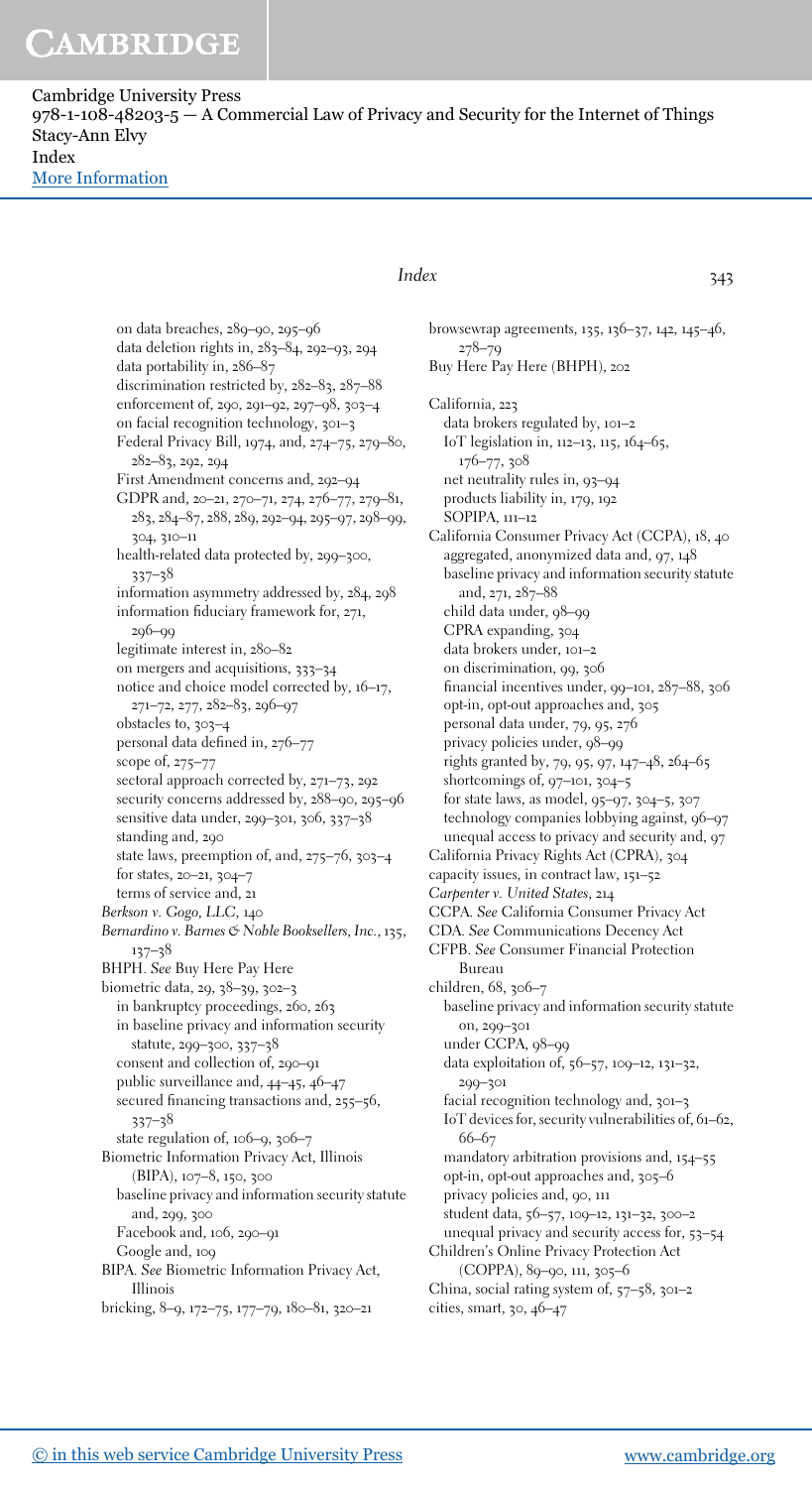Cambridge University Press  $978-1-108-48203-5 - A$  Commercial Law of Privacy and Security for the Internet of Things Stacy-Ann Elvy Index [More Information](www.cambridge.org/9781108482035)

> on data breaches, 289–90, 295–96 data deletion rights in, 283–84, 292–93, 294 data portability in, 286–87 discrimination restricted by, 282–83, 287–88 enforcement of, 290, 291–92, 297–98, 303–4 on facial recognition technology, 301–3 Federal Privacy Bill, 1974, and, 274–75, 279–80, 282–83, 292, 294 First Amendment concerns and, 292–94 GDPR and, 20–21, 270–71, 274, 276–77, 279–81, 283, 284–87, 288, 289, 292–94, 295–97, 298–99, 304, 310–11 health-related data protected by, 299–300, 337–38 information asymmetry addressed by, 284, 298 information fiduciary framework for, 271, 296–99 legitimate interest in, 280–82 on mergers and acquisitions, 333–34 notice and choice model corrected by, 16–17, 271–72, 277, 282–83, 296–97 obstacles to, 303–4 personal data defined in, 276–77 scope of, 275–77 sectoral approach corrected by, 271–73, 292 security concerns addressed by, 288–90, 295–96 sensitive data under, 299–301, 306, 337–38 standing and, 290 state laws, preemption of, and, 275–76, 303–4 for states, 20–21, 304–7 terms of service and, 21 Berkson v. Gogo, LLC, 140 Bernardino v. Barnes & Noble Booksellers, Inc., 135, 137–38 BHPH. See Buy Here Pay Here biometric data, 29, 38–39, 302–3 in bankruptcy proceedings, 260, 263 in baseline privacy and information security statute, 299–300, 337–38 consent and collection of, 290–91 public surveillance and, 44–45, 46–47 secured financing transactions and, 255–56, 337–38 state regulation of, 106–9, 306–7 Biometric Information Privacy Act, Illinois (BIPA), 107–8, 150, 300 baseline privacy and information security statute and, 299, 300 Facebook and, 106, 290–91 Google and, 109 BIPA. See Biometric Information Privacy Act, Illinois bricking, 8–9, 172–75, 177–79, 180–81, 320–21

### Index 343

browsewrap agreements, 135, 136–37, 142, 145–46, 278–79 Buy Here Pay Here (BHPH), 202 California, 223 data brokers regulated by, 101–2 IoT legislation in, 112–13, 115, 164–65, 176–77, 308 net neutrality rules in, 93–94 products liability in, 179, 192 SOPIPA, 111–12 California Consumer Privacy Act (CCPA), 18, 40 aggregated, anonymized data and, 97, 148 baseline privacy and information security statute and, 271, 287–88 child data under, 98–99 CPRA expanding, 304 data brokers under, 101–2 on discrimination, 99, 306 financial incentives under, 99–101, 287–88, 306 opt-in, opt-out approaches and, 305 personal data under, 79, 95, 276 privacy policies under, 98–99 rights granted by, 79, 95, 97, 147–48, 264–65 shortcomings of, 97–101, 304–5 for state laws, as model, 95–97, 304–5, 307 technology companies lobbying against, 96–97 unequal access to privacy and security and, 97 California Privacy Rights Act (CPRA), 304 capacity issues, in contract law, 151–52 Carpenter v. United States, 214 CCPA. See California Consumer Privacy Act CDA. See Communications Decency Act CFPB. See Consumer Financial Protection Bureau children, 68, 306–7 baseline privacy and information security statute on, 299–301 under CCPA, 98–99 data exploitation of, 56–57, 109–12, 131–32, 299–301 facial recognition technology and, 301–3 IoT devices for, security vulnerabilities of, 61–62, 66–67 mandatory arbitration provisions and, 154–55 opt-in, opt-out approaches and, 305–6 privacy policies and, 90, 111 student data, 56–57, 109–12, 131–32, 300–2 unequal privacy and security access for, 53–54 Children's Online Privacy Protection Act (COPPA), 89–90, 111, 305–6 China, social rating system of, 57–58, 301–2 cities, smart, 30, 46–47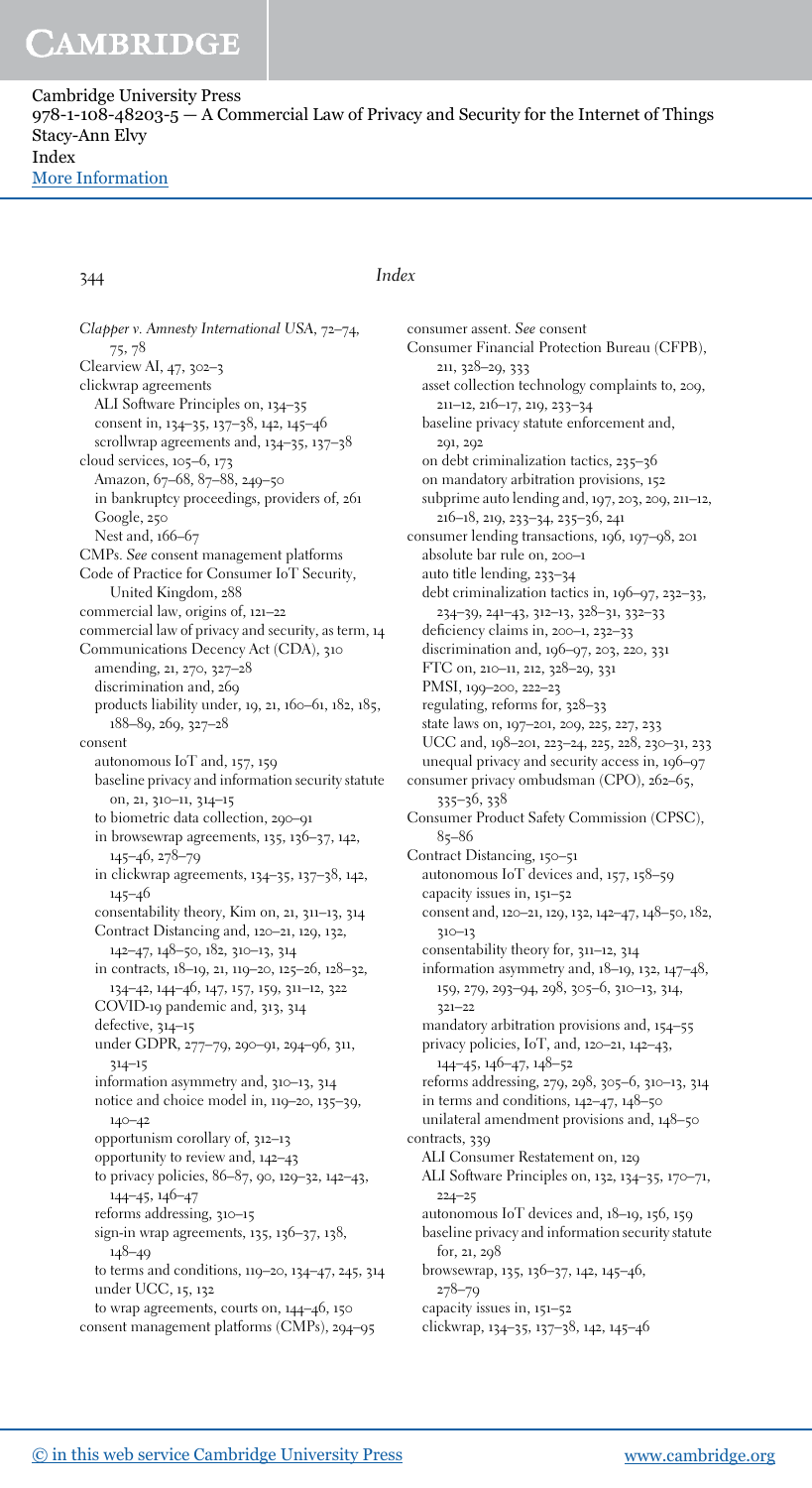Cambridge University Press  $978-1-108-48203-5 - A$  Commercial Law of Privacy and Security for the Internet of Things Stacy-Ann Elvy Index [More Information](www.cambridge.org/9781108482035)

### 344 Index

Clapper v. Amnesty International USA, 72–74, 75, 78 Clearview AI, 47, 302–3 clickwrap agreements ALI Software Principles on, 134–35 consent in, 134–35, 137–38, 142, 145–46 scrollwrap agreements and, 134–35, 137–38 cloud services, 105–6, 173 Amazon, 67–68, 87–88, 249–50 in bankruptcy proceedings, providers of, 261 Google, 250 Nest and, 166–67 CMPs. See consent management platforms Code of Practice for Consumer IoT Security, United Kingdom, 288 commercial law, origins of, 121–22 commercial law of privacy and security, as term, 14 Communications Decency Act (CDA), 310 amending, 21, 270, 327–28 discrimination and, 269 products liability under, 19, 21, 160–61, 182, 185, 188–89, 269, 327–28 consent autonomous IoT and, 157, 159 baseline privacy and information security statute on, 21, 310–11, 314–15 to biometric data collection, 290–91 in browsewrap agreements, 135, 136–37, 142, 145–46, 278–79 in clickwrap agreements, 134–35, 137–38, 142, 145–46 consentability theory, Kim on, 21, 311–13, 314 Contract Distancing and, 120–21, 129, 132, 142–47, 148–50, 182, 310–13, 314 in contracts, 18–19, 21, 119–20, 125–26, 128–32, 134–42, 144–46, 147, 157, 159, 311–12, 322 COVID-19 pandemic and, 313, 314 defective, 314–15 under GDPR, 277–79, 290–91, 294–96, 311, 314–15 information asymmetry and, 310–13, 314 notice and choice model in, 119–20, 135–39, 140–42 opportunism corollary of, 312–13 opportunity to review and, 142–43 to privacy policies, 86–87, 90, 129–32, 142–43, 144–45, 146–47 reforms addressing, 310–15 sign-in wrap agreements, 135, 136–37, 138, 148–49 to terms and conditions, 119–20, 134–47, 245, 314 under UCC, 15, 132 to wrap agreements, courts on, 144–46, 150 consent management platforms (CMPs), 294–95

consumer assent. See consent Consumer Financial Protection Bureau (CFPB), 211, 328–29, 333 asset collection technology complaints to, 209, 211–12, 216–17, 219, 233–34 baseline privacy statute enforcement and, 291, 292 on debt criminalization tactics, 235–36 on mandatory arbitration provisions, 152 subprime auto lending and, 197, 203, 209, 211–12, 216–18, 219, 233–34, 235–36, 241 consumer lending transactions, 196, 197–98, 201 absolute bar rule on, 200–1 auto title lending, 233–34 debt criminalization tactics in, 196–97, 232–33, 234–39, 241–43, 312–13, 328–31, 332–33 deficiency claims in, 200–1, 232–33 discrimination and, 196–97, 203, 220, 331 FTC on, 210–11, 212, 328–29, 331 PMSI, 199–200, 222–23 regulating, reforms for, 328–33 state laws on, 197–201, 209, 225, 227, 233 UCC and, 198–201, 223–24, 225, 228, 230–31, 233 unequal privacy and security access in, 196–97 consumer privacy ombudsman (CPO), 262–65, 335–36, 338 Consumer Product Safety Commission (CPSC), 85–86 Contract Distancing, 150–51 autonomous IoT devices and, 157, 158–59 capacity issues in, 151–52 consent and, 120–21, 129, 132, 142–47, 148–50, 182, 310–13 consentability theory for, 311–12, 314 information asymmetry and, 18–19, 132, 147–48, 159, 279, 293–94, 298, 305–6, 310–13, 314, 321–22 mandatory arbitration provisions and, 154–55 privacy policies, IoT, and, 120–21, 142–43, 144–45, 146–47, 148–52 reforms addressing, 279, 298, 305–6, 310–13, 314 in terms and conditions, 142–47, 148–50 unilateral amendment provisions and, 148–50 contracts, 339 ALI Consumer Restatement on, 129 ALI Software Principles on, 132, 134–35, 170–71, 224–25 autonomous IoT devices and, 18–19, 156, 159 baseline privacy and information security statute for, 21, 298 browsewrap, 135, 136–37, 142, 145–46, 278–79 capacity issues in, 151–52 clickwrap, 134–35, 137–38, 142, 145–46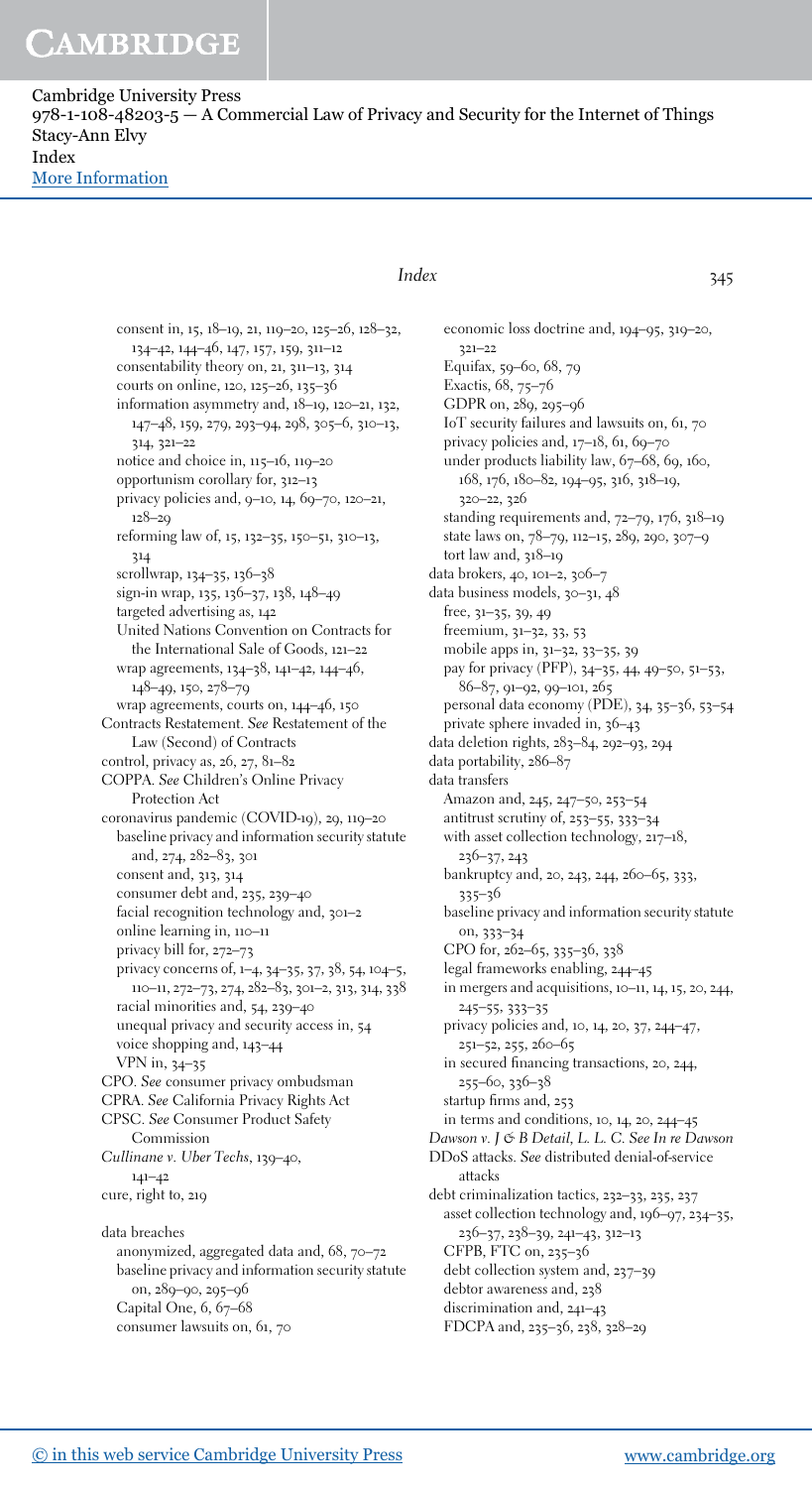Cambridge University Press  $978-1-108-48203-5 - A$  Commercial Law of Privacy and Security for the Internet of Things Stacy-Ann Elvy Index [More Information](www.cambridge.org/9781108482035)

> consent in, 15, 18–19, 21, 119–20, 125–26, 128–32, 134–42, 144–46, 147, 157, 159, 311–12 consentability theory on, 21, 311–13, 314 courts on online, 120, 125–26, 135–36 information asymmetry and, 18–19, 120–21, 132, 147–48, 159, 279, 293–94, 298, 305–6, 310–13, 314, 321–22 notice and choice in, 115–16, 119–20 opportunism corollary for, 312–13 privacy policies and, 9–10, 14, 69–70, 120–21, 128–29 reforming law of, 15, 132–35, 150–51, 310–13, 314 scrollwrap, 134–35, 136–38 sign-in wrap, 135, 136–37, 138, 148–49 targeted advertising as, 142 United Nations Convention on Contracts for the International Sale of Goods, 121–22 wrap agreements, 134–38, 141–42, 144–46, 148–49, 150, 278–79 wrap agreements, courts on, 144–46, 150 Contracts Restatement. See Restatement of the Law (Second) of Contracts control, privacy as, 26, 27, 81–82 COPPA. See Children's Online Privacy Protection Act coronavirus pandemic (COVID-19), 29, 119–20 baseline privacy and information security statute and, 274, 282–83, 301 consent and, 313, 314 consumer debt and, 235, 239–40 facial recognition technology and, 301–2 online learning in, 110–11 privacy bill for, 272–73 privacy concerns of, 1–4, 34–35, 37, 38, 54, 104–5, 110–11, 272–73, 274, 282–83, 301–2, 313, 314, 338 racial minorities and, 54, 239–40 unequal privacy and security access in, 54 voice shopping and, 143–44 VPN in, 34–35 CPO. See consumer privacy ombudsman CPRA. See California Privacy Rights Act CPSC. See Consumer Product Safety Commission Cullinane v. Uber Techs, 139–40, 141–42 cure, right to, 219 data breaches anonymized, aggregated data and, 68, 70–72 baseline privacy and information security statute on, 289–90, 295–96 Capital One, 6, 67–68

### consumer lawsuits on, 61, 70

### Index 345

economic loss doctrine and, 194–95, 319–20, 321–22 Equifax, 59–60, 68, 79 Exactis, 68, 75–76 GDPR on, 289, 295–96 IoT security failures and lawsuits on, 61, 70 privacy policies and, 17–18, 61, 69–70 under products liability law, 67–68, 69, 160, 168, 176, 180–82, 194–95, 316, 318–19, 320–22, 326 standing requirements and, 72–79, 176, 318–19 state laws on, 78–79, 112–15, 289, 290, 307–9 tort law and, 318-19 data brokers, 40, 101–2, 306–7 data business models, 30–31, 48 free, 31–35, 39, 49 freemium, 31–32, 33, 53 mobile apps in, 31–32, 33–35, 39 pay for privacy (PFP), 34–35, 44, 49–50, 51–53, 86–87, 91–92, 99–101, 265 personal data economy (PDE), 34, 35–36, 53–54 private sphere invaded in, 36–43 data deletion rights, 283–84, 292–93, 294 data portability, 286–87 data transfers Amazon and, 245, 247–50, 253–54 antitrust scrutiny of, 253–55, 333–34 with asset collection technology, 217–18, 236–37, 243 bankruptcy and, 20, 243, 244, 260–65, 333, 335–36 baseline privacy and information security statute on, 333–34 CPO for, 262–65, 335–36, 338 legal frameworks enabling, 244–45 in mergers and acquisitions, 10–11, 14, 15, 20, 244, 245–55, 333–35 privacy policies and, 10, 14, 20, 37, 244–47, 251–52, 255, 260–65 in secured financing transactions, 20, 244, 255–60, 336–38 startup firms and, 253 in terms and conditions, 10, 14, 20, 244–45 Dawson v. J & B Detail, L. L. C. See In re Dawson DDoS attacks. See distributed denial-of-service attacks debt criminalization tactics, 232–33, 235, 237 asset collection technology and, 196–97, 234–35, 236–37, 238–39, 241–43, 312–13 CFPB, FTC on, 235–36 debt collection system and, 237–39 debtor awareness and, 238 discrimination and, 241–43 FDCPA and, 235–36, 238, 328–29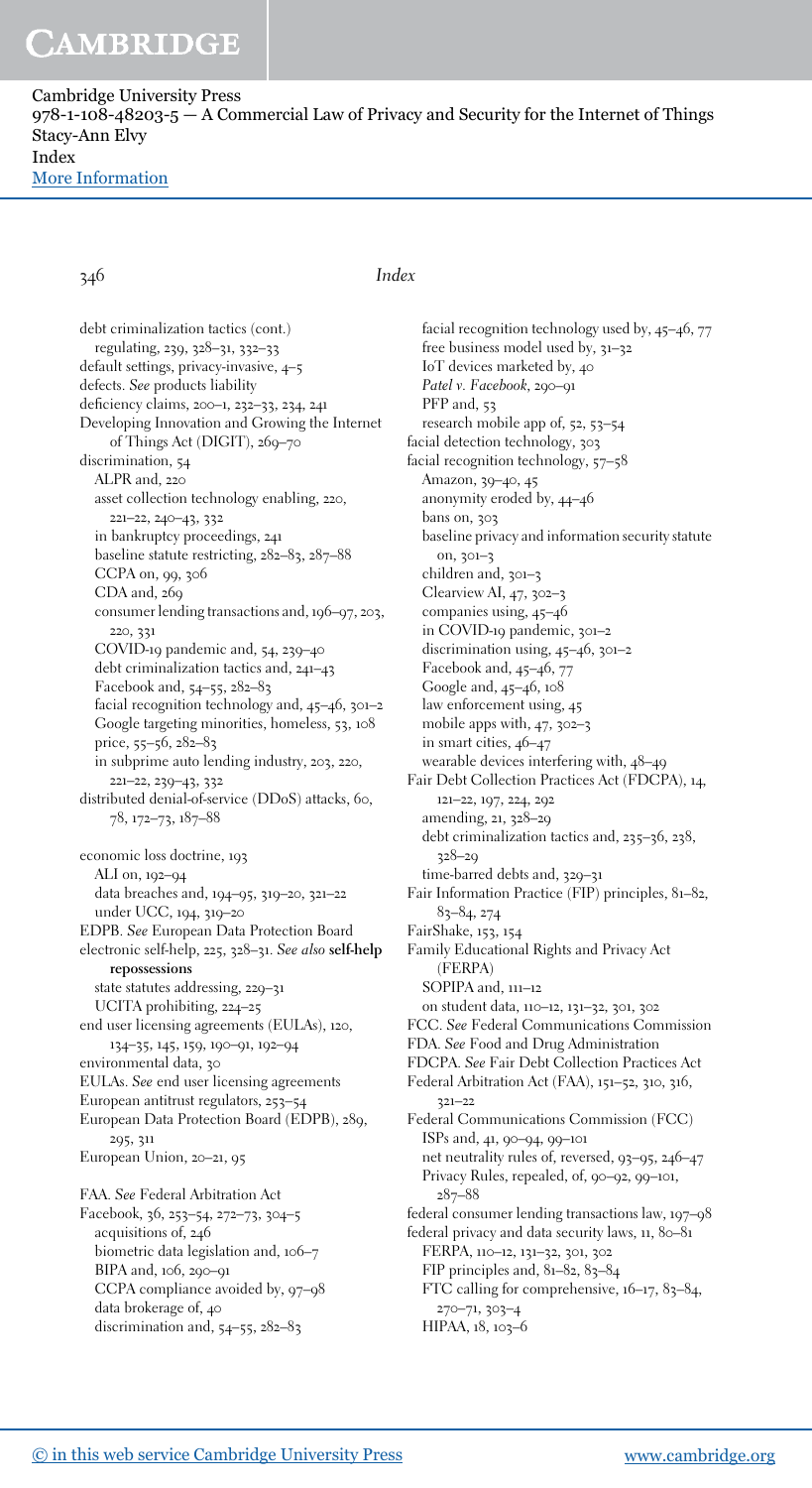Cambridge University Press  $978-1-108-48203-5 - A$  Commercial Law of Privacy and Security for the Internet of Things Stacy-Ann Elvy Index [More Information](www.cambridge.org/9781108482035)

346 Index

debt criminalization tactics (cont.) regulating, 239, 328–31, 332–33 default settings, privacy-invasive, 4–5 defects. See products liability deficiency claims, 200–1, 232–33, 234, 241 Developing Innovation and Growing the Internet of Things Act (DIGIT), 269-70 discrimination, 54 ALPR and, 220 asset collection technology enabling, 220, 221–22, 240–43, 332 in bankruptcy proceedings, 241 baseline statute restricting, 282–83, 287–88 CCPA on, 99, 306 CDA and, 269 consumer lending transactions and, 196–97, 203, 220, 331 COVID-19 pandemic and, 54, 239–40 debt criminalization tactics and, 241–43 Facebook and, 54–55, 282–83 facial recognition technology and, 45–46, 301–2 Google targeting minorities, homeless, 53, 108 price, 55–56, 282–83 in subprime auto lending industry, 203, 220, 221–22, 239–43, 332 distributed denial-of-service (DDoS) attacks, 60, 78, 172–73, 187–88 economic loss doctrine, 193 ALI on, 192–94 data breaches and, 194–95, 319–20, 321–22 under UCC, 194, 319–20 EDPB. See European Data Protection Board electronic self-help, 225, 328–31. See also self-help repossessions state statutes addressing, 229–31 UCITA prohibiting, 224–25 end user licensing agreements (EULAs), 120, 134–35, 145, 159, 190–91, 192–94 environmental data, 30 EULAs. See end user licensing agreements European antitrust regulators, 253–54 European Data Protection Board (EDPB), 289, 295, 311 European Union, 20–21, 95 FAA. See Federal Arbitration Act Facebook, 36, 253–54, 272–73, 304–5 acquisitions of, 246 biometric data legislation and, 106–7 BIPA and, 106, 290–91 CCPA compliance avoided by, 97–98 data brokerage of, 40 discrimination and, 54–55, 282–83

facial recognition technology used by, 45–46, 77 free business model used by, 31–32 IoT devices marketed by, 40 Patel v. Facebook, 290-91 PFP and, 53 research mobile app of, 52, 53–54 facial detection technology, 303 facial recognition technology, 57–58 Amazon, 39–40, 45 anonymity eroded by, 44–46 bans on, 303 baseline privacy and information security statute on, 301–3 children and, 301–3 Clearview AI, 47, 302–3 companies using, 45–46 in COVID-19 pandemic, 301–2 discrimination using, 45–46, 301–2 Facebook and, 45–46, 77 Google and, 45–46, 108 law enforcement using, 45 mobile apps with, 47, 302–3 in smart cities, 46–47 wearable devices interfering with, 48–49 Fair Debt Collection Practices Act (FDCPA), 14, 121–22, 197, 224, 292 amending, 21, 328–29 debt criminalization tactics and, 235–36, 238, 328–29 time-barred debts and, 329-31 Fair Information Practice (FIP) principles, 81–82, 83–84, 274 FairShake, 153, 154 Family Educational Rights and Privacy Act (FERPA) SOPIPA and, 111–12 on student data, 110–12, 131–32, 301, 302 FCC. See Federal Communications Commission FDA. See Food and Drug Administration FDCPA. See Fair Debt Collection Practices Act Federal Arbitration Act (FAA), 151–52, 310, 316, 321–22 Federal Communications Commission (FCC) ISPs and, 41, 90–94, 99–101 net neutrality rules of, reversed, 93–95, 246–47 Privacy Rules, repealed, of, 90–92, 99–101, 287–88 federal consumer lending transactions law, 197–98 federal privacy and data security laws, 11, 80–81 FERPA, 110–12, 131–32, 301, 302 FIP principles and, 81–82, 83–84 FTC calling for comprehensive, 16–17, 83–84,

270–71, 303–4 HIPAA, 18, 103-6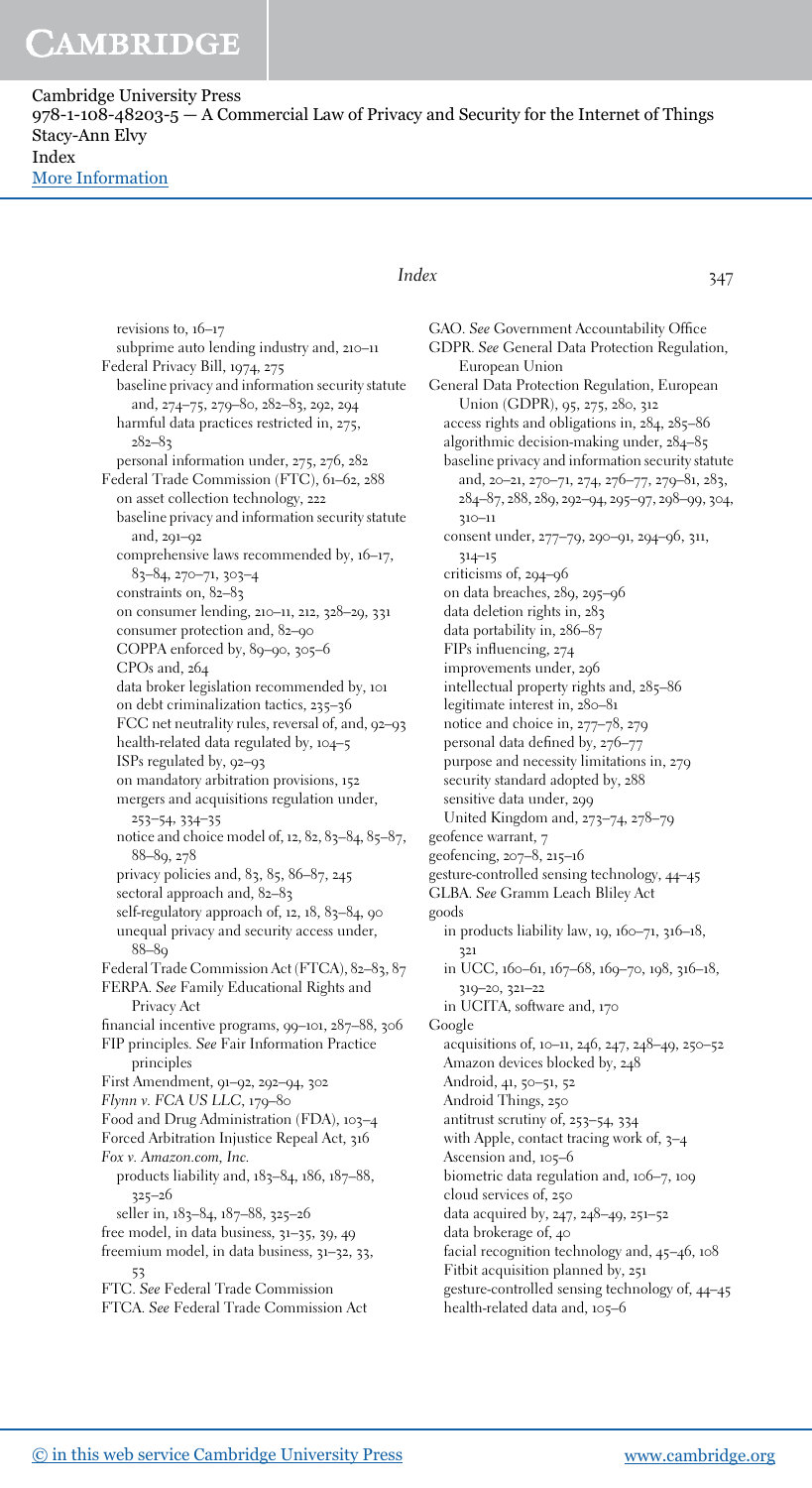Cambridge University Press  $978-1-108-48203-5 - A$  Commercial Law of Privacy and Security for the Internet of Things Stacy-Ann Elvy Index [More Information](www.cambridge.org/9781108482035)

> revisions to, 16–17 subprime auto lending industry and, 210–11 Federal Privacy Bill, 1974, 275 baseline privacy and information security statute and, 274–75, 279–80, 282–83, 292, 294 harmful data practices restricted in, 275, 282–83 personal information under, 275, 276, 282 Federal Trade Commission (FTC), 61–62, 288 on asset collection technology, 222 baseline privacy and information security statute and, 291–92 comprehensive laws recommended by, 16–17, 83–84, 270–71, 303–4 constraints on, 82–83 on consumer lending, 210–11, 212, 328–29, 331 consumer protection and, 82–90 COPPA enforced by, 89–90, 305–6 CPOs and, 264 data broker legislation recommended by, 101 on debt criminalization tactics, 235–36 FCC net neutrality rules, reversal of, and, 92–93 health-related data regulated by, 104–5 ISPs regulated by, 92–93 on mandatory arbitration provisions, 152 mergers and acquisitions regulation under, 253–54, 334–35 notice and choice model of, 12, 82, 83–84, 85–87, 88–89, 278 privacy policies and, 83, 85, 86–87, 245 sectoral approach and, 82–83 self-regulatory approach of,  $12$ ,  $18$ ,  $83-84$ ,  $90$ unequal privacy and security access under,  $88 - 80$ Federal Trade Commission Act (FTCA), 82–83, 87 FERPA. See Family Educational Rights and Privacy Act financial incentive programs, 99–101, 287–88, 306 FIP principles. See Fair Information Practice principles First Amendment, 91–92, 292–94, 302 Flynn v. FCA US LLC, 179–80 Food and Drug Administration (FDA), 103–4 Forced Arbitration Injustice Repeal Act, 316 Fox v. Amazon.com, Inc. products liability and, 183–84, 186, 187–88, 325–26 seller in, 183–84, 187–88, 325–26 free model, in data business, 31–35, 39, 49 freemium model, in data business, 31–32, 33, 53 FTC. See Federal Trade Commission FTCA. See Federal Trade Commission Act

### Index 347

GAO. See Government Accountability Office GDPR. See General Data Protection Regulation, European Union General Data Protection Regulation, European Union (GDPR), 95, 275, 280, 312 access rights and obligations in, 284, 285–86 algorithmic decision-making under, 284–85 baseline privacy and information security statute and, 20–21, 270–71, 274, 276–77, 279–81, 283, 284–87, 288, 289, 292–94, 295–97, 298–99, 304, 310–11 consent under, 277–79, 290–91, 294–96, 311, 314–15 criticisms of, 294–96 on data breaches, 289, 295–96 data deletion rights in, 283 data portability in, 286–87 FIPs influencing, 274 improvements under, 296 intellectual property rights and, 285–86 legitimate interest in, 280–81 notice and choice in, 277–78, 279 personal data defined by, 276–77 purpose and necessity limitations in, 279 security standard adopted by, 288 sensitive data under, 299 United Kingdom and, 273–74, 278–79 geofence warrant, 7 geofencing, 207–8, 215–16 gesture-controlled sensing technology, 44–45 GLBA. See Gramm Leach Bliley Act goods in products liability law,  $19, 160 - 71, 316 - 18$ , 321 in UCC, 160–61, 167–68, 169–70, 198, 316–18, 319–20, 321–22 in UCITA, software and, 170 Google acquisitions of, 10–11, 246, 247, 248–49, 250–52 Amazon devices blocked by, 248 Android, 41, 50–51, 52 Android Things, 250 antitrust scrutiny of, 253–54, 334 with Apple, contact tracing work of, 3–4 Ascension and, 105–6 biometric data regulation and, 106–7, 109 cloud services of, 250 data acquired by, 247, 248–49, 251–52 data brokerage of, 40 facial recognition technology and, 45–46, 108 Fitbit acquisition planned by, 251 gesture-controlled sensing technology of, 44–45 health-related data and, 105–6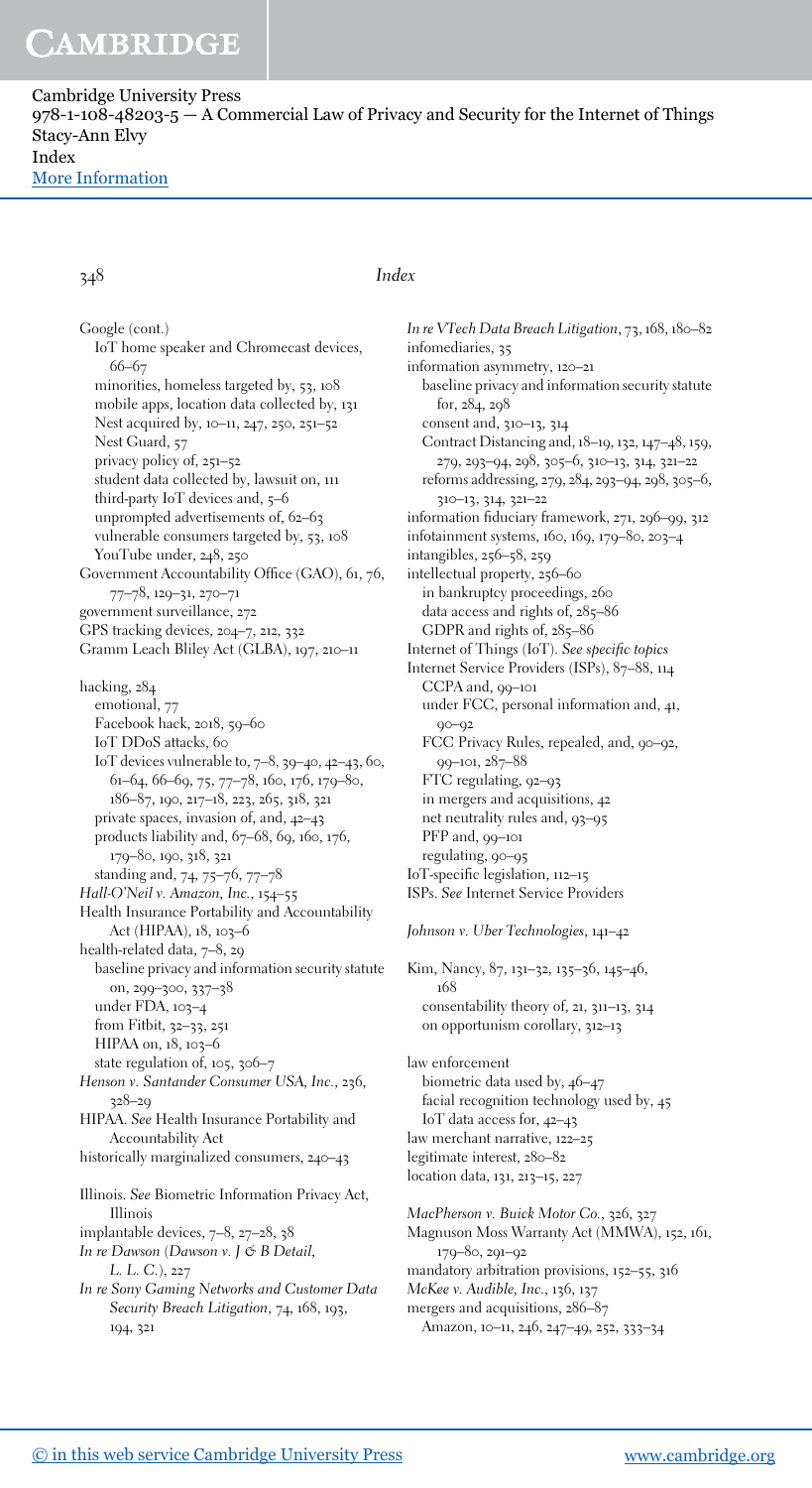Cambridge University Press  $978-1-108-48203-5 - A$  Commercial Law of Privacy and Security for the Internet of Things Stacy-Ann Elvy Index [More Information](www.cambridge.org/9781108482035)

### 348 Index

Google (cont.) IoT home speaker and Chromecast devices, 66–67 minorities, homeless targeted by, 53, 108 mobile apps, location data collected by, 131 Nest acquired by, 10–11, 247, 250, 251–52 Nest Guard, 57 privacy policy of, 251–52 student data collected by, lawsuit on, 111 third-party IoT devices and, 5–6 unprompted advertisements of, 62–63 vulnerable consumers targeted by, 53, 108 YouTube under, 248, 250 Government Accountability Office (GAO), 61, 76, 77–78, 129–31, 270–71 government surveillance, 272 GPS tracking devices, 204–7, 212, 332 Gramm Leach Bliley Act (GLBA), 197, 210–11 hacking, 284 emotional, 77 Facebook hack, 2018, 59–60 IoT DDoS attacks, 60 IoT devices vulnerable to, 7–8, 39–40, 42–43, 60, 61–64, 66–69, 75, 77–78, 160, 176, 179–80, 186–87, 190, 217–18, 223, 265, 318, 321 private spaces, invasion of, and, 42–43 products liability and, 67–68, 69, 160, 176, 179–80, 190, 318, 321 standing and, 74, 75–76, 77–78 Hall-O'Neil v. Amazon, Inc., 154–55 Health Insurance Portability and Accountability Act (HIPAA), 18, 103–6 health-related data, 7–8, 29 baseline privacy and information security statute on, 299–300, 337–38 under FDA, 103–4 from Fitbit, 32–33, 251 HIPAA on, 18, 103-6 state regulation of, 105, 306–7 Henson v. Santander Consumer USA, Inc., 236, 328–29 HIPAA. See Health Insurance Portability and Accountability Act historically marginalized consumers, 240–43 Illinois. See Biometric Information Privacy Act, Illinois implantable devices, 7–8, 27–28, 38 In re Dawson (Dawson v. J & B Detail, L. L. C.), 227 In re Sony Gaming Networks and Customer Data Security Breach Litigation, 74, 168, 193, 194, 321

In re VTech Data Breach Litigation, 73, 168, 180–82 infomediaries, 35 information asymmetry, 120–21 baseline privacy and information security statute for, 284, 298 consent and, 310–13, 314 Contract Distancing and, 18–19, 132, 147–48, 159, 279, 293–94, 298, 305–6, 310–13, 314, 321–22 reforms addressing, 279, 284, 293–94, 298, 305–6, 310–13, 314, 321–22 information fiduciary framework, 271, 296–99, 312 infotainment systems, 160, 169, 179–80, 203–4 intangibles, 256–58, 259 intellectual property, 256–60 in bankruptcy proceedings, 260 data access and rights of, 285–86 GDPR and rights of, 285–86 Internet of Things (IoT). See specific topics Internet Service Providers (ISPs), 87–88, 114 CCPA and, 99–101 under FCC, personal information and, 41, 90–92 FCC Privacy Rules, repealed, and, 90–92, 99–101, 287–88 FTC regulating, 92–93 in mergers and acquisitions, 42 net neutrality rules and, 93–95 PFP and, 99-101 regulating, 90–95 IoT-specific legislation, 112–15 ISPs. See Internet Service Providers Johnson v. Uber Technologies, 141–42

Kim, Nancy, 87, 131–32, 135–36, 145–46, 168 consentability theory of, 21, 311–13, 314 on opportunism corollary, 312–13 law enforcement biometric data used by, 46–47 facial recognition technology used by, 45 IoT data access for, 42–43 law merchant narrative, 122–25 legitimate interest, 280–82 location data, 131, 213–15, 227 MacPherson v. Buick Motor Co., 326, 327 Magnuson Moss Warranty Act (MMWA), 152, 161, 179–80, 291–92 mandatory arbitration provisions, 152–55, 316 McKee v. Audible, Inc., 136, 137 mergers and acquisitions, 286–87 Amazon, 10–11, 246, 247–49, 252, 333–34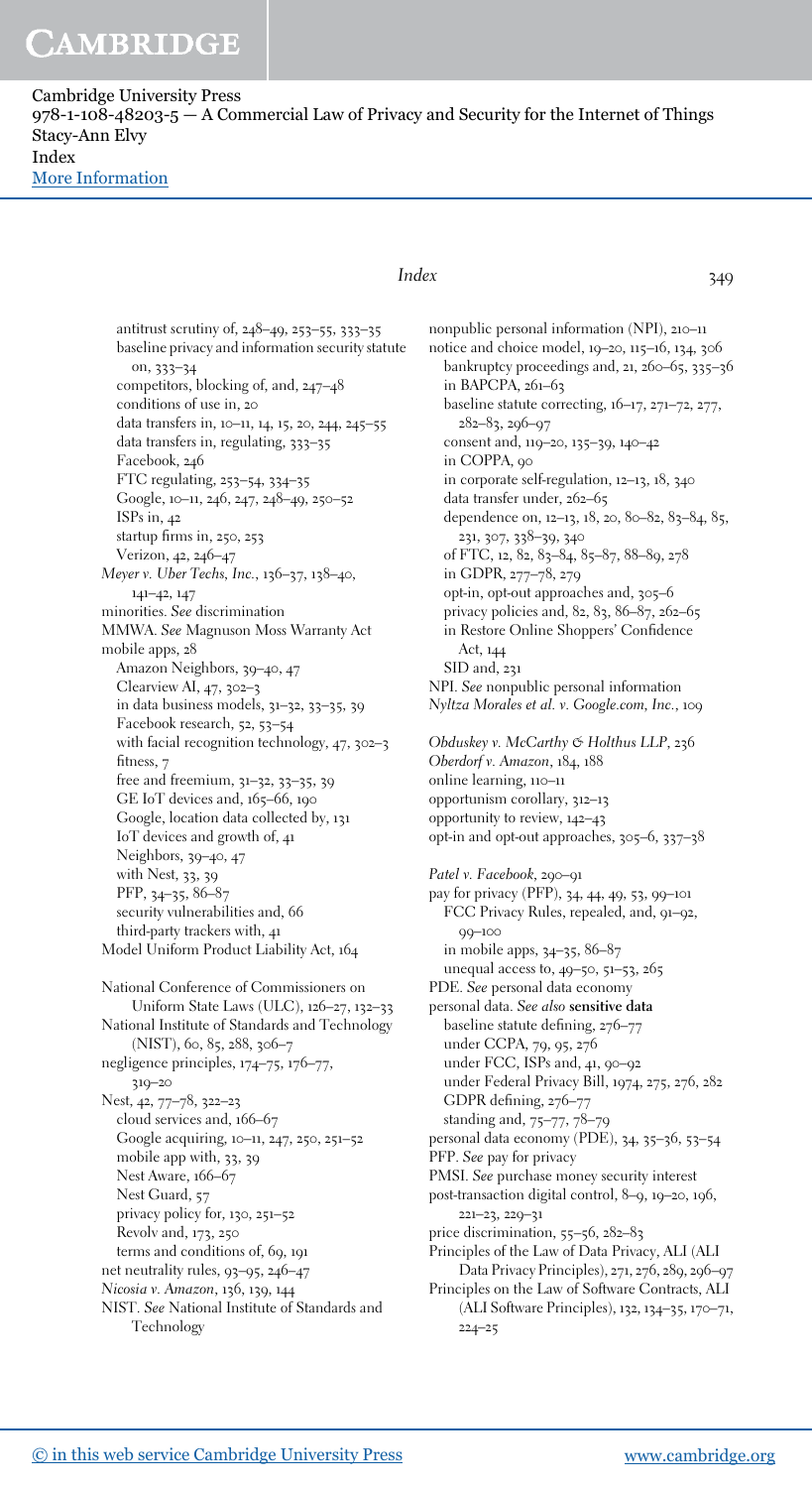Cambridge University Press  $978-1-108-48203-5 - A$  Commercial Law of Privacy and Security for the Internet of Things Stacy-Ann Elvy Index [More Information](www.cambridge.org/9781108482035)

> antitrust scrutiny of, 248–49, 253–55, 333–35 baseline privacy and information security statute on, 333–34 competitors, blocking of, and, 247–48 conditions of use in, 20 data transfers in, 10–11, 14, 15, 20, 244, 245–55 data transfers in, regulating, 333–35 Facebook, 246 FTC regulating, 253–54, 334–35 Google, 10–11, 246, 247, 248–49, 250–52 ISPs in, 42 startup firms in, 250, 253 Verizon, 42, 246–47 Meyer v. Uber Techs, Inc., 136–37, 138–40, 141–42, 147 minorities. See discrimination MMWA. See Magnuson Moss Warranty Act mobile apps, 28 Amazon Neighbors, 39–40, 47 Clearview AI, 47, 302–3 in data business models, 31–32, 33–35, 39 Facebook research, 52, 53–54 with facial recognition technology, 47, 302–3 fitness, 7 free and freemium, 31–32, 33–35, 39 GE IoT devices and, 165–66, 190 Google, location data collected by, 131 IoT devices and growth of, 41 Neighbors, 39–40, 47 with Nest, 33, 39 PFP, 34–35, 86–87 security vulnerabilities and, 66 third-party trackers with, 41 Model Uniform Product Liability Act, 164 National Conference of Commissioners on Uniform State Laws (ULC), 126–27, 132–33 National Institute of Standards and Technology (NIST), 60, 85, 288, 306–7 negligence principles, 174–75, 176–77, 319–20 Nest, 42, 77–78, 322–23 cloud services and, 166–67 Google acquiring, 10–11, 247, 250, 251–52 mobile app with, 33, 39 Nest Aware, 166–67 Nest Guard, 57 privacy policy for, 130, 251–52 Revolv and, 173, 250

terms and conditions of, 69, 191

net neutrality rules, 93–95, 246–47

Nicosia v. Amazon, 136, 139, 144 NIST. See National Institute of Standards and

Technology

### Index 349

nonpublic personal information (NPI), 210–11 notice and choice model, 19–20, 115–16, 134, 306 bankruptcy proceedings and, 21, 260–65, 335–36 in BAPCPA, 261–63 baseline statute correcting, 16–17, 271–72, 277, 282–83, 296–97 consent and, 119–20, 135–39, 140–42 in COPPA, 90 in corporate self-regulation, 12–13, 18, 340 data transfer under, 262–65 dependence on, 12–13, 18, 20, 80–82, 83–84, 85, 231, 307, 338–39, 340 of FTC, 12, 82, 83–84, 85–87, 88–89, 278 in GDPR, 277–78, 279 opt-in, opt-out approaches and, 305–6 privacy policies and, 82, 83, 86–87, 262–65 in Restore Online Shoppers' Confidence Act, 144 SID and, 231 NPI. See nonpublic personal information Nyltza Morales et al. v. Google.com, Inc., 109 Obduskey v. McCarthy & Holthus LLP, 236 Oberdorf v. Amazon, 184, 188 online learning, 110–11 opportunism corollary, 312–13 opportunity to review, 142–43 opt-in and opt-out approaches, 305–6, 337–38 Patel v. Facebook, 290-91 pay for privacy (PFP), 34, 44, 49, 53, 99–101 FCC Privacy Rules, repealed, and, 91–92, 99–100 in mobile apps, 34–35, 86–87 unequal access to, 49–50, 51–53, 265 PDE. See personal data economy personal data. See also sensitive data baseline statute defining, 276–77 under CCPA, 79, 95, 276 under FCC, ISPs and, 41, 90–92 under Federal Privacy Bill, 1974, 275, 276, 282 GDPR defining, 276–77 standing and, 75–77, 78–79 personal data economy (PDE), 34, 35–36, 53–54 PFP. See pay for privacy PMSI. See purchase money security interest post-transaction digital control, 8–9, 19–20, 196, 221–23, 229–31 price discrimination, 55–56, 282–83 Principles of the Law of Data Privacy, ALI (ALI Data Privacy Principles), 271, 276, 289, 296–97 Principles on the Law of Software Contracts, ALI (ALI Software Principles), 132, 134–35, 170–71, 224–25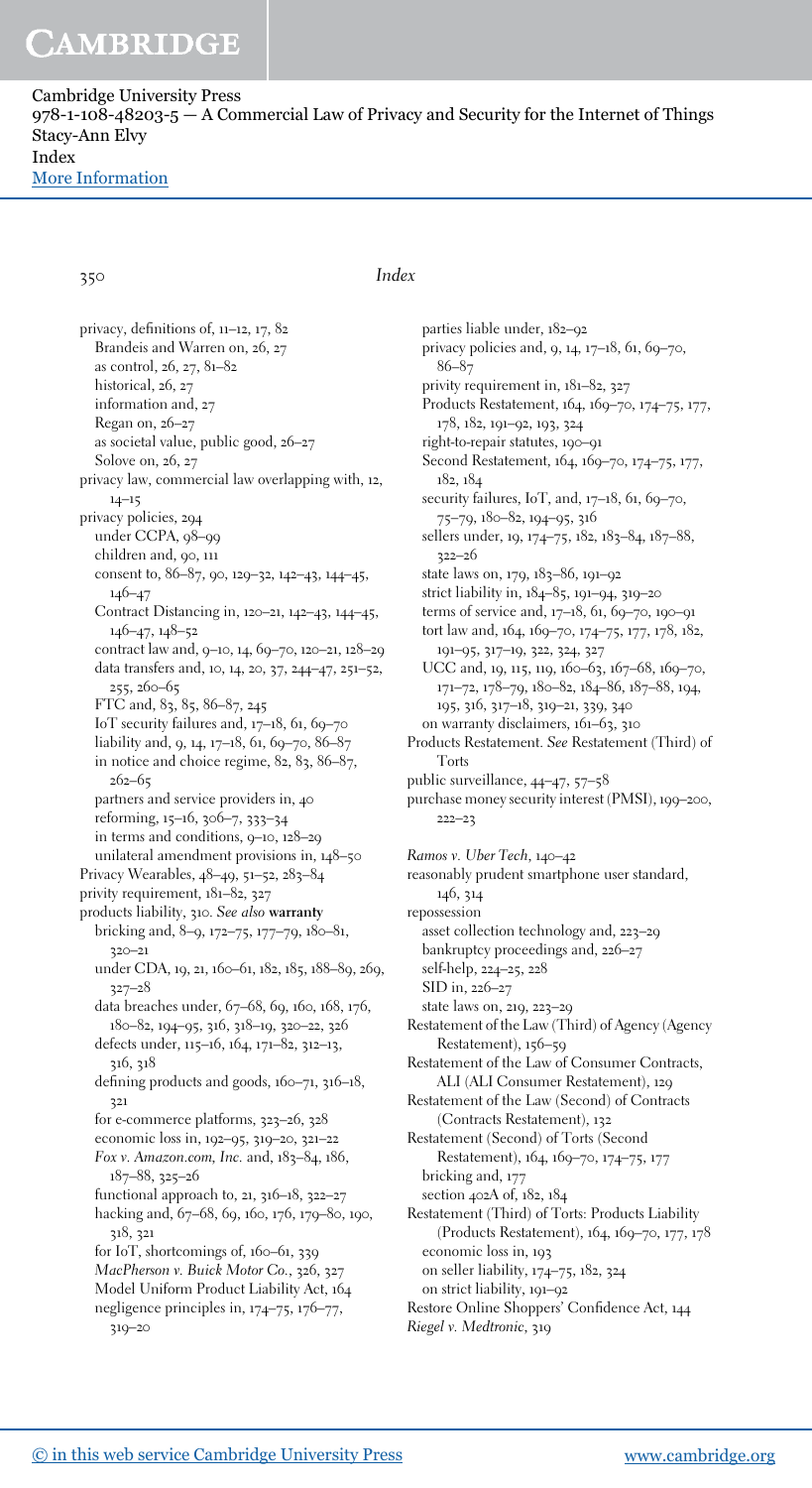Cambridge University Press  $978-1-108-48203-5 - A$  Commercial Law of Privacy and Security for the Internet of Things Stacy-Ann Elvy Index [More Information](www.cambridge.org/9781108482035)

### 350 Index

privacy, definitions of, 11–12, 17, 82 Brandeis and Warren on, 26, 27 as control, 26, 27, 81–82 historical, 26, 27 information and, 27 Regan on, 26–27 as societal value, public good, 26–27 Solove on, 26, 27 privacy law, commercial law overlapping with, 12, 14–15 privacy policies, 294 under CCPA, 98–99 children and, 90, 111 consent to, 86–87, 90, 129–32, 142–43, 144–45, 146–47 Contract Distancing in, 120–21, 142–43, 144–45, 146–47, 148–52 contract law and, 9–10, 14, 69–70, 120–21, 128–29 data transfers and, 10, 14, 20, 37, 244–47, 251–52, 255, 260–65 FTC and, 83, 85, 86–87, 245 IoT security failures and, 17–18, 61, 69–70 liability and, 9, 14, 17–18, 61, 69–70, 86–87 in notice and choice regime, 82, 83, 86–87, 262–65 partners and service providers in, 40 reforming, 15–16, 306–7, 333–34 in terms and conditions, 9–10, 128–29 unilateral amendment provisions in, 148–50 Privacy Wearables, 48–49, 51–52, 283–84 privity requirement, 181–82, 327 products liability, 310. See also warranty bricking and, 8–9, 172–75, 177–79, 180–81, 320–21 under CDA, 19, 21, 160–61, 182, 185, 188–89, 269, 327–28 data breaches under, 67–68, 69, 160, 168, 176, 180–82, 194–95, 316, 318–19, 320–22, 326 defects under, 115–16, 164, 171–82, 312–13, 316, 318 defining products and goods, 160–71, 316–18, 321 for e-commerce platforms, 323–26, 328 economic loss in, 192–95, 319–20, 321–22 Fox v. Amazon.com, Inc. and, 183–84, 186, 187–88, 325–26 functional approach to, 21, 316–18, 322–27 hacking and, 67–68, 69, 160, 176, 179–80, 190, 318, 321 for IoT, shortcomings of, 160–61, 339 MacPherson v. Buick Motor Co., 326, 327 Model Uniform Product Liability Act, 164 negligence principles in, 174–75, 176–77, 319–20

parties liable under, 182–92 privacy policies and, 9, 14, 17–18, 61, 69–70, 86–87 privity requirement in, 181–82, 327 Products Restatement, 164, 169–70, 174–75, 177, 178, 182, 191–92, 193, 324 right-to-repair statutes, 190–91 Second Restatement, 164, 169–70, 174–75, 177, 182, 184 security failures, IoT, and, 17-18, 61, 69-70, 75–79, 180–82, 194–95, 316 sellers under, 19, 174–75, 182, 183–84, 187–88, 322–26 state laws on, 179, 183–86, 191–92 strict liability in, 184–85, 191–94, 319–20 terms of service and, 17–18, 61, 69–70, 190–91 tort law and, 164, 169–70, 174–75, 177, 178, 182, 191–95, 317–19, 322, 324, 327 UCC and, 19, 115, 119, 160–63, 167–68, 169–70, 171–72, 178–79, 180–82, 184–86, 187–88, 194, 195, 316, 317–18, 319–21, 339, 340 on warranty disclaimers, 161–63, 310 Products Restatement. See Restatement (Third) of Torts public surveillance, 44–47, 57–58 purchase money security interest (PMSI), 199–200, 222–23 Ramos v. Uber Tech, 140–42 reasonably prudent smartphone user standard, 146, 314 repossession asset collection technology and, 223–29 bankruptcy proceedings and, 226–27 self-help, 224–25, 228 SID in, 226–27 state laws on, 219, 223–29 Restatement of the Law (Third) of Agency (Agency Restatement), 156–59 Restatement of the Law of Consumer Contracts, ALI (ALI Consumer Restatement), 129 Restatement of the Law (Second) of Contracts (Contracts Restatement), 132 Restatement (Second) of Torts (Second Restatement), 164, 169–70, 174–75, 177 bricking and, 177 section 402A of, 182, 184 Restatement (Third) of Torts: Products Liability (Products Restatement), 164, 169–70, 177, 178 economic loss in, 193 on seller liability, 174–75, 182, 324 on strict liability, 191–92

- Restore Online Shoppers' Confidence Act, 144
- Riegel v. Medtronic, 319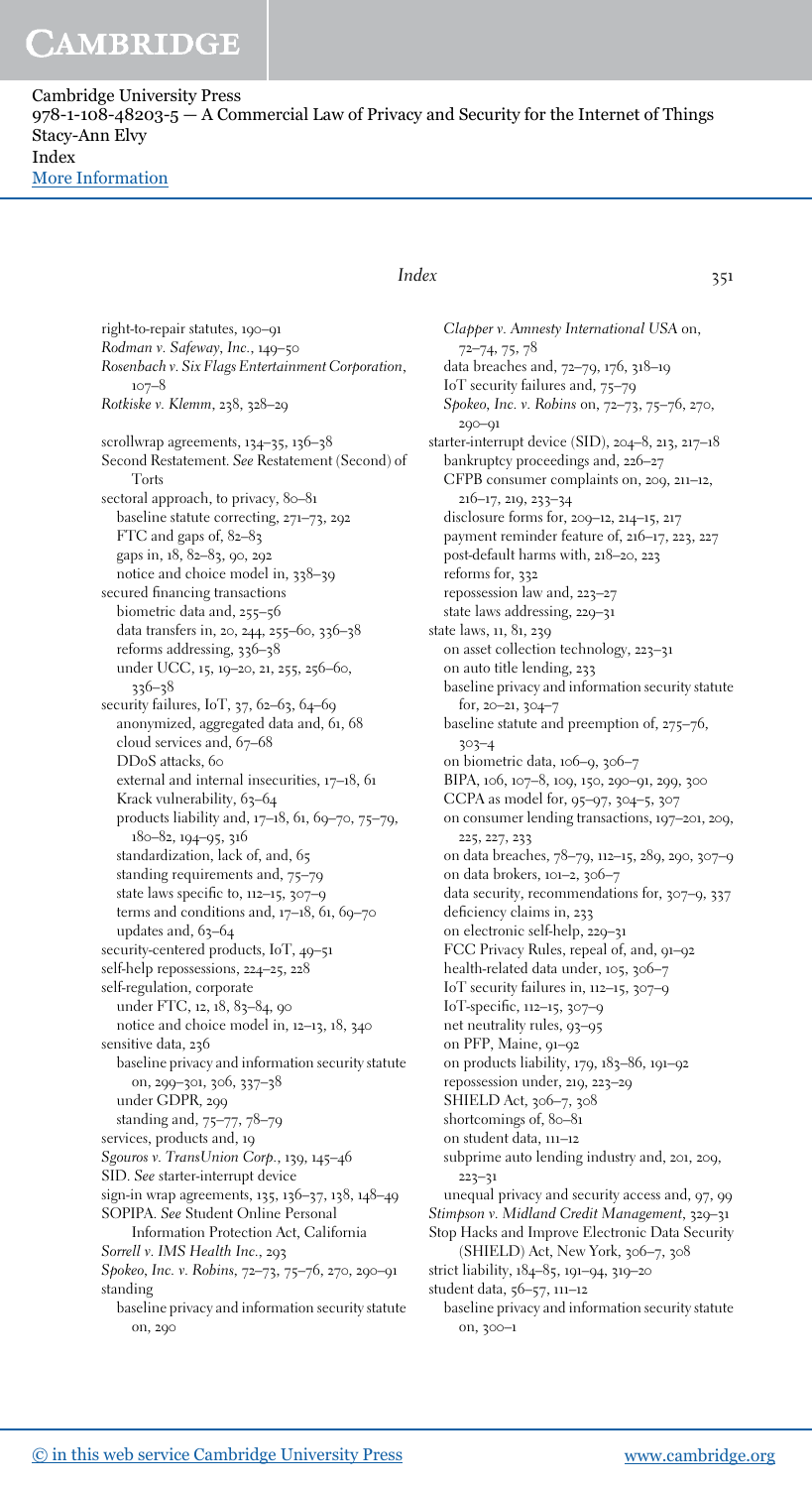Cambridge University Press  $978-1-108-48203-5 - A$  Commercial Law of Privacy and Security for the Internet of Things Stacy-Ann Elvy Index [More Information](www.cambridge.org/9781108482035)

### $Index$  351

right-to-repair statutes, 190–91 Rodman v. Safeway, Inc., 149–50 Rosenbach v. Six Flags Entertainment Corporation, 107–8 Rotkiske v. Klemm, 238, 328–29 scrollwrap agreements, 134–35, 136–38 Second Restatement. See Restatement (Second) of Torts sectoral approach, to privacy, 80-81 baseline statute correcting, 271–73, 292 FTC and gaps of, 82–83 gaps in, 18, 82–83, 90, 292 notice and choice model in, 338–39 secured financing transactions biometric data and, 255–56 data transfers in, 20, 244, 255–60, 336–38 reforms addressing, 336–38 under UCC, 15, 19–20, 21, 255, 256–60, 336–38 security failures, IoT, 37, 62–63, 64–69 anonymized, aggregated data and, 61, 68 cloud services and, 67–68 DDoS attacks, 60 external and internal insecurities, 17–18, 61 Krack vulnerability, 63-64 products liability and, 17–18, 61, 69–70, 75–79, 180–82, 194–95, 316 standardization, lack of, and, 65 standing requirements and, 75–79 state laws specific to, 112–15, 307–9 terms and conditions and,  $17-18$ ,  $61$ ,  $69-70$ updates and, 63-64 security-centered products, IoT, 49–51 self-help repossessions, 224–25, 228 self-regulation, corporate under FTC, 12, 18, 83-84, 90 notice and choice model in, 12–13, 18, 340 sensitive data, 236 baseline privacy and information security statute on, 299–301, 306, 337–38 under GDPR, 299 standing and, 75–77, 78–79 services, products and, 19 Sgouros v. TransUnion Corp., 139, 145–46 SID. See starter-interrupt device sign-in wrap agreements, 135, 136–37, 138, 148–49 SOPIPA. See Student Online Personal Information Protection Act, California Sorrell v. IMS Health Inc., 293 Spokeo, Inc. v. Robins, 72–73, 75–76, 270, 290–91 standing

baseline privacy and information security statute on, 290

Clapper v. Amnesty International USA on, 72–74, 75, 78 data breaches and, 72–79, 176, 318–19 IoT security failures and, 75–79 Spokeo, Inc. v. Robins on, 72–73, 75–76, 270, 290–91 starter-interrupt device (SID), 204–8, 213, 217–18 bankruptcy proceedings and, 226–27 CFPB consumer complaints on, 209, 211–12, 216–17, 219, 233–34 disclosure forms for, 209–12, 214–15, 217 payment reminder feature of, 216–17, 223, 227 post-default harms with, 218–20, 223 reforms for, 332 repossession law and, 223–27 state laws addressing, 229–31 state laws, 11, 81, 239 on asset collection technology, 223–31 on auto title lending, 233 baseline privacy and information security statute for, 20–21, 304–7 baseline statute and preemption of, 275–76, 303–4 on biometric data, 106–9, 306–7 BIPA, 106, 107–8, 109, 150, 290–91, 299, 300 CCPA as model for, 95–97, 304–5, 307 on consumer lending transactions, 197–201, 209, 225, 227, 233 on data breaches, 78–79, 112–15, 289, 290, 307–9 on data brokers, 101–2, 306–7 data security, recommendations for, 307–9, 337 deficiency claims in, 233 on electronic self-help, 229–31 FCC Privacy Rules, repeal of, and, 91–92 health-related data under, 105, 306–7 IoT security failures in, 112–15, 307–9 IoT-specific, 112–15, 307–9 net neutrality rules, 93–95 on PFP, Maine, 91–92 on products liability, 179, 183–86, 191–92 repossession under, 219, 223–29 SHIELD Act, 306–7, 308 shortcomings of, 80-81 on student data, 111–12 subprime auto lending industry and, 201, 209, 223–31 unequal privacy and security access and, 97, 99 Stimpson v. Midland Credit Management, 329–31 Stop Hacks and Improve Electronic Data Security (SHIELD) Act, New York, 306–7, 308 strict liability, 184–85, 191–94, 319–20 student data, 56–57, 111–12 baseline privacy and information security statute on, 300–1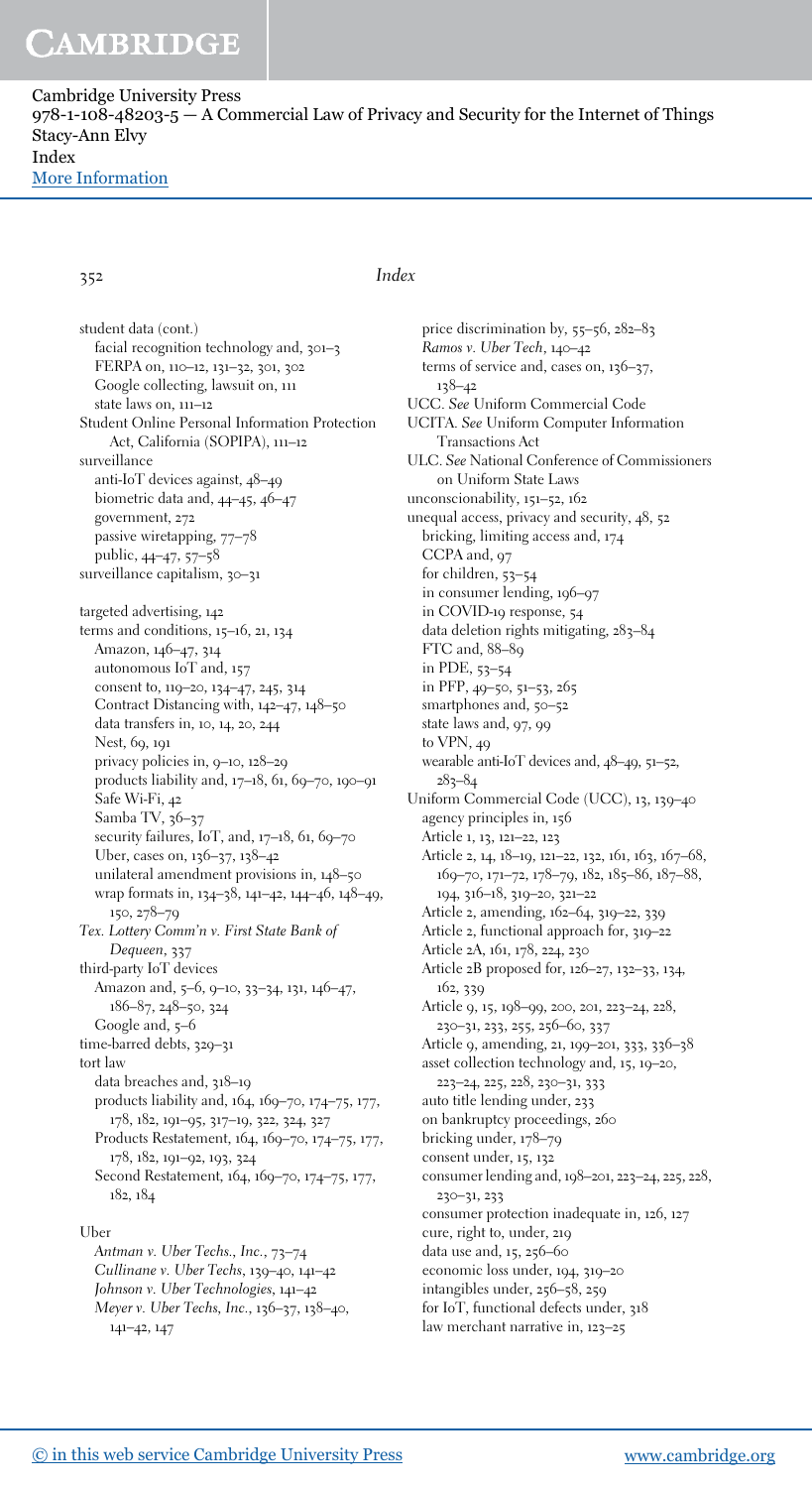Cambridge University Press  $978-1-108-48203-5 - A$  Commercial Law of Privacy and Security for the Internet of Things Stacy-Ann Elvy Index [More Information](www.cambridge.org/9781108482035)

352 Index

student data (cont.) facial recognition technology and, 301–3 FERPA on, 110–12, 131–32, 301, 302 Google collecting, lawsuit on, 111 state laws on, 111–12 Student Online Personal Information Protection Act, California (SOPIPA), 111–12 surveillance anti-IoT devices against, 48–49 biometric data and, 44–45, 46–47 government, 272 passive wiretapping, 77–78 public, 44–47, 57–58 surveillance capitalism, 30-31 targeted advertising, 142 terms and conditions, 15–16, 21, 134 Amazon, 146–47, 314 autonomous IoT and, 157 consent to, 119–20, 134–47, 245, 314 Contract Distancing with, 142–47, 148–50 data transfers in, 10, 14, 20, 244 Nest, 69, 191 privacy policies in, 9–10, 128–29 products liability and, 17–18, 61, 69–70, 190–91 Safe Wi-Fi, 42 Samba TV, 36-37 security failures, IoT, and, 17-18, 61, 69-70 Uber, cases on, 136–37, 138–42 unilateral amendment provisions in, 148–50 wrap formats in, 134–38, 141–42, 144–46, 148–49, 150, 278–79 Tex. Lottery Comm'n v. First State Bank of Dequeen, 337 third-party IoT devices Amazon and, 5–6, 9–10, 33–34, 131, 146–47, 186–87, 248–50, 324 Google and, 5–6 time-barred debts, 329–31 tort law data breaches and, 318–19 products liability and, 164, 169–70, 174–75, 177, 178, 182, 191–95, 317–19, 322, 324, 327 Products Restatement, 164, 169–70, 174–75, 177, 178, 182, 191–92, 193, 324 Second Restatement, 164, 169–70, 174–75, 177, 182, 184 Uber

Antman v. Uber Techs., Inc., 73–74 Cullinane v. Uber Techs, 139–40, 141–42 Johnson v. Uber Technologies, 141–42 Meyer v. Uber Techs, Inc., 136–37, 138–40, 141–42, 147

price discrimination by, 55–56, 282–83 Ramos v. Uber Tech, 140–42 terms of service and, cases on, 136–37, 138–42 UCC. See Uniform Commercial Code UCITA. See Uniform Computer Information Transactions Act ULC. See National Conference of Commissioners on Uniform State Laws unconscionability, 151–52, 162 unequal access, privacy and security, 48, 52 bricking, limiting access and, 174 CCPA and, 97 for children, 53–54 in consumer lending, 196–97 in COVID-19 response, 54 data deletion rights mitigating, 283–84 FTC and, 88–89 in PDE, 53–54 in PFP, 49–50, 51–53, 265 smartphones and, 50-52 state laws and, 97, 99 to VPN, 49 wearable anti-IoT devices and, 48–49, 51–52, 283–84 Uniform Commercial Code (UCC), 13, 139–40 agency principles in, 156 Article 1, 13, 121–22, 123 Article 2, 14, 18-19, 121-22, 132, 161, 163, 167-68, 169–70, 171–72, 178–79, 182, 185–86, 187–88, 194, 316–18, 319–20, 321–22 Article 2, amending, 162–64, 319–22, 339 Article 2, functional approach for, 319–22 Article 2A, 161, 178, 224, 230 Article 2B proposed for, 126–27, 132–33, 134, 162, 339 Article 9, 15, 198–99, 200, 201, 223–24, 228, 230–31, 233, 255, 256–60, 337 Article 9, amending, 21, 199–201, 333, 336–38 asset collection technology and, 15, 19–20, 223–24, 225, 228, 230–31, 333 auto title lending under, 233 on bankruptcy proceedings, 260 bricking under, 178–79 consent under, 15, 132 consumer lending and, 198–201, 223–24, 225, 228, 230–31, 233 consumer protection inadequate in, 126, 127

cure, right to, under, 219 data use and, 15, 256–60

economic loss under, 194, 319–20

intangibles under, 256–58, 259

for IoT, functional defects under, 318

law merchant narrative in, 123–25